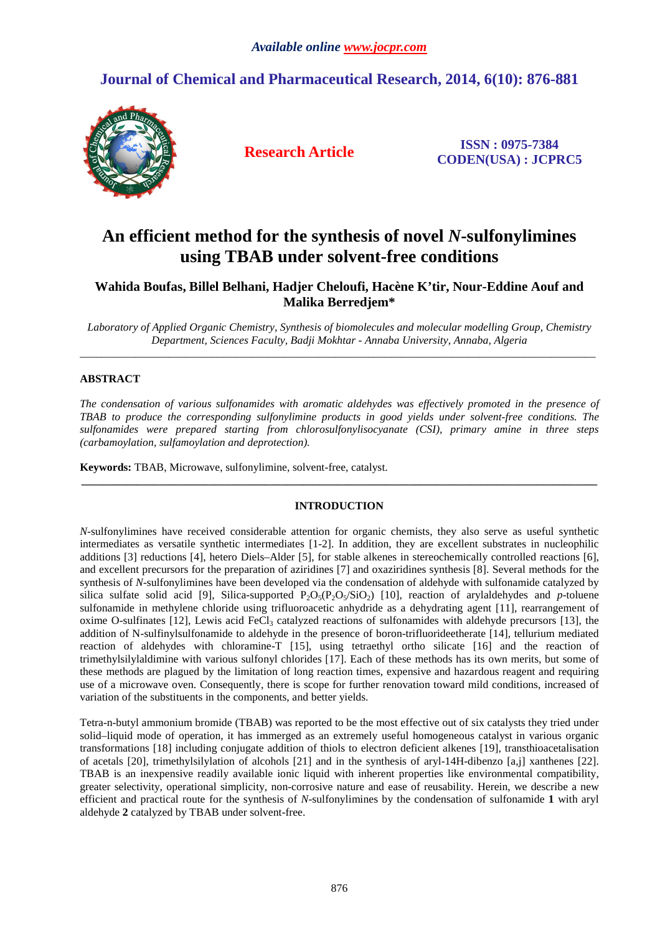# **Journal of Chemical and Pharmaceutical Research, 2014, 6(10): 876-881**



**Research Article ISSN : 0975-7384 CODEN(USA) : JCPRC5**

# **An efficient method for the synthesis of novel** *N***-sulfonylimines using TBAB under solvent-free conditions**

# **Wahida Boufas, Billel Belhani, Hadjer Cheloufi, Hacène K'tir, Nour-Eddine Aouf and Malika Berredjem\***

*Laboratory of Applied Organic Chemistry, Synthesis of biomolecules and molecular modelling Group, Chemistry Department, Sciences Faculty, Badji Mokhtar - Annaba University, Annaba, Algeria*  $\overline{a}$  , and the contribution of the contribution of the contribution of the contribution of the contribution of the contribution of the contribution of the contribution of the contribution of the contribution of the co

# **ABSTRACT**

*The condensation of various sulfonamides with aromatic aldehydes was effectively promoted in the presence of TBAB to produce the corresponding sulfonylimine products in good yields under solvent-free conditions. The sulfonamides were prepared starting from chlorosulfonylisocyanate (CSI), primary amine in three steps (carbamoylation, sulfamoylation and deprotection).* 

**Keywords:** TBAB, Microwave, sulfonylimine, solvent-free, catalyst.

# **INTRODUCTION**

**\_\_\_\_\_\_\_\_\_\_\_\_\_\_\_\_\_\_\_\_\_\_\_\_\_\_\_\_\_\_\_\_\_\_\_\_\_\_\_\_\_\_\_\_\_\_\_\_\_\_\_\_\_\_\_\_\_\_\_\_\_\_\_\_\_\_\_\_\_\_\_\_\_\_\_\_\_\_\_\_\_\_\_\_\_\_\_\_\_\_\_\_\_** 

*N*-sulfonylimines have received considerable attention for organic chemists, they also serve as useful synthetic intermediates as versatile synthetic intermediates [1-2]. In addition, they are excellent substrates in nucleophilic additions [3] reductions [4], hetero Diels–Alder [5], for stable alkenes in stereochemically controlled reactions [6], and excellent precursors for the preparation of aziridines [7] and oxaziridines synthesis [8]. Several methods for the synthesis of *N*-sulfonylimines have been developed via the condensation of aldehyde with sulfonamide catalyzed by silica sulfate solid acid [9], Silica-supported  $P_2O_5(P_2O_5/SO_2)$  [10], reaction of arylaldehydes and *p*-toluene sulfonamide in methylene chloride using trifluoroacetic anhydride as a dehydrating agent [11], rearrangement of oxime O-sulfinates [12], Lewis acid FeCl<sub>3</sub> catalyzed reactions of sulfonamides with aldehyde precursors [13], the addition of N-sulfinylsulfonamide to aldehyde in the presence of boron-trifluorideetherate [14], tellurium mediated reaction of aldehydes with chloramine-T [15], using tetraethyl ortho silicate [16] and the reaction of trimethylsilylaldimine with various sulfonyl chlorides [17]. Each of these methods has its own merits, but some of these methods are plagued by the limitation of long reaction times, expensive and hazardous reagent and requiring use of a microwave oven. Consequently, there is scope for further renovation toward mild conditions, increased of variation of the substituents in the components, and better yields.

Tetra-n-butyl ammonium bromide (TBAB) was reported to be the most effective out of six catalysts they tried under solid–liquid mode of operation, it has immerged as an extremely useful homogeneous catalyst in various organic transformations [18] including conjugate addition of thiols to electron deficient alkenes [19], transthioacetalisation of acetals [20], trimethylsilylation of alcohols [21] and in the synthesis of aryl-14H-dibenzo [a,j] xanthenes [22]. TBAB is an inexpensive readily available ionic liquid with inherent properties like environmental compatibility, greater selectivity, operational simplicity, non-corrosive nature and ease of reusability. Herein, we describe a new efficient and practical route for the synthesis of *N*-sulfonylimines by the condensation of sulfonamide **1** with aryl aldehyde **2** catalyzed by TBAB under solvent-free.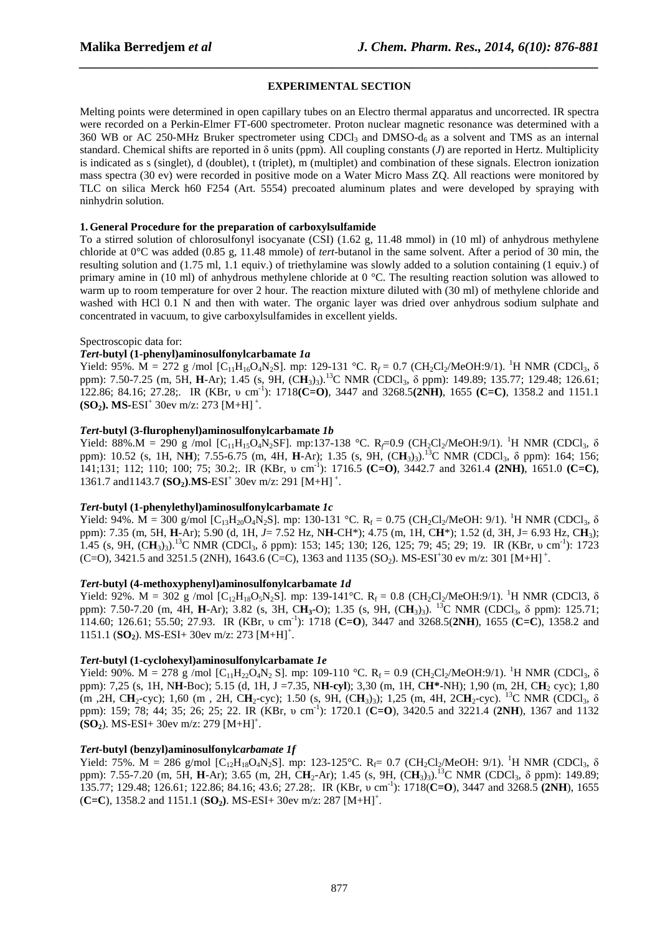# **EXPERIMENTAL SECTION**

*\_\_\_\_\_\_\_\_\_\_\_\_\_\_\_\_\_\_\_\_\_\_\_\_\_\_\_\_\_\_\_\_\_\_\_\_\_\_\_\_\_\_\_\_\_\_\_\_\_\_\_\_\_\_\_\_\_\_\_\_\_\_\_\_\_\_\_\_\_\_\_\_\_\_\_\_\_\_*

Melting points were determined in open capillary tubes on an Electro thermal apparatus and uncorrected. IR spectra were recorded on a Perkin-Elmer FT-600 spectrometer. Proton nuclear magnetic resonance was determined with a 360 WB or AC 250-MHz Bruker spectrometer using CDCl<sub>3</sub> and DMSO-d<sub>6</sub> as a solvent and TMS as an internal standard. Chemical shifts are reported in δ units (ppm). All coupling constants (*J*) are reported in Hertz. Multiplicity is indicated as s (singlet), d (doublet), t (triplet), m (multiplet) and combination of these signals. Electron ionization mass spectra (30 ev) were recorded in positive mode on a Water Micro Mass ZQ. All reactions were monitored by TLC on silica Merck h60 F254 (Art. 5554) precoated aluminum plates and were developed by spraying with ninhydrin solution.

# **1.General Procedure for the preparation of carboxylsulfamide**

To a stirred solution of chlorosulfonyl isocyanate (CSI) (1.62 g, 11.48 mmol) in (10 ml) of anhydrous methylene chloride at 0°C was added (0.85 g, 11.48 mmole) of *tert*-butanol in the same solvent. After a period of 30 min, the resulting solution and (1.75 ml, 1.1 equiv.) of triethylamine was slowly added to a solution containing (1 equiv.) of primary amine in (10 ml) of anhydrous methylene chloride at 0 °C. The resulting reaction solution was allowed to warm up to room temperature for over 2 hour. The reaction mixture diluted with (30 ml) of methylene chloride and washed with HCl 0.1 N and then with water. The organic layer was dried over anhydrous sodium sulphate and concentrated in vacuum, to give carboxylsulfamides in excellent yields.

# Spectroscopic data for:

# *Tert***-butyl (1-phenyl)aminosulfonylcarbamate** *1a*

Yield: 95%.  $\tilde{M} = 272$  g /mol [C<sub>11</sub>H<sub>16</sub>O<sub>4</sub>N<sub>2</sub>S]. mp: 129-131 °C. R<sub>f</sub> = 0.7 (CH<sub>2</sub>Cl<sub>2</sub>/MeOH:9/1). <sup>1</sup>H NMR (CDCl<sub>3</sub>,  $\delta$ ppm): 7.50-7.25 (m, 5H, **H**-Ar); 1.45 (s, 9H, (C**H**<sub>3</sub>)<sub>3</sub>).<sup>13</sup>C NMR (CDCl<sub>3</sub>, δ ppm): 149.89; 135.77; 129.48; 126.61; 122.86; 84.16; 27.28;. IR (KBr, υ cm-1): 1718**(C=O)**, 3447 and 3268.5**(2NH)**, 1655 **(C=C)**, 1358.2 and 1151.1  $(SO_2)$ . MS-ESI<sup>+</sup> 30ev m/z: 273 [M+H]<sup>+</sup>.

# *Tert***-butyl (3-flurophenyl)aminosulfonylcarbamate** *1b*

Yield: 88%.M = 290 g /mol  $[C_{11}H_{15}O_4N_2SF]$ . mp:137-138 °C. R<sub>f</sub>=0.9 (CH<sub>2</sub>Cl<sub>2</sub>/MeOH:9/1). <sup>1</sup>H NMR (CDCl<sub>3</sub>,  $\delta$ ppm): 10.52 (s, 1H, N**H**); 7.55-6.75 (m, 4H, **H**-Ar); 1.35 (s, 9H, (C**H**<sub>3</sub>)<sub>3</sub>).<sup>13</sup>C NMR (CDCl<sub>3</sub>, δ ppm): 164; 156; 141;131; 112; 110; 100; 75; 30.2;. IR (KBr, υ cm-1): 1716.5 **(C=O)**, 3442.7 and 3261.4 **(2NH)**, 1651.0 **(C=C)**, 1361.7 and 1143.7 **(SO<sub>2</sub>).MS-ESI**<sup>+</sup> 30ev m/z: 291 [M+H]<sup>+</sup>.

# *Tert***-butyl (1-phenylethyl)aminosulfonylcarbamate** *1c*

Yield: 94%.  $\dot{M} = 300$  g/mol [C<sub>13</sub>H<sub>20</sub>O<sub>4</sub>N<sub>2</sub>S]. mp: 130-131 °C. R<sub>f</sub> = 0.75 (CH<sub>2</sub>Cl<sub>2</sub>/MeOH: 9/1). <sup>1</sup>H NMR (CDCl<sub>3</sub>,  $\delta$ ppm): 7.35 (m, 5H, **H**-Ar); 5.90 (d, 1H, *J*= 7.52 Hz, N**H**-CH\*); 4.75 (m, 1H, C**H**\*); 1.52 (d, 3H, J= 6.93 Hz, C**H**3); 1.45 (s, 9H, (C**H**3)3).<sup>13</sup>C NMR (CDCl3, δ ppm): 153; 145; 130; 126, 125; 79; 45; 29; 19. IR (KBr, υ cm-1): 1723  $(C=O)$ , 3421.5 and 3251.5 (2NH), 1643.6 (C=C), 1363 and 1135 (SO<sub>2</sub>). MS-ESI<sup>+</sup>30 ev m/z: 301 [M+H]<sup>+</sup>.

# *Tert***-butyl (4-methoxyphenyl)aminosulfonylcarbamate** *1d*

Yield: 92%. M = 302 g /mol  $[C_{12}H_{18}O_5N_2S]$ . mp: 139-141°C. R<sub>f</sub> = 0.8 (CH<sub>2</sub>Cl<sub>2</sub>/MeOH:9/1). <sup>1</sup>H NMR (CDCl3,  $\delta$ ppm): 7.50-7.20 (m, 4H, **H**-Ar); 3.82 (s, 3H, C**H3**-O); 1.35 (s, 9H, (C**H**3)3). <sup>13</sup>C NMR (CDCl3, δ ppm): 125.71; 114.60; 126.61; 55.50; 27.93. IR (KBr, υ cm-1): 1718 (**C=O**), 3447 and 3268.5(**2NH**), 1655 (**C=C**), 1358.2 and 1151.1 (**SO**<sub>2</sub>). MS-ESI+ 30ev m/z: 273 [M+H]<sup>+</sup>.

# *Tert***-butyl (1-cyclohexyl)aminosulfonylcarbamate** *1e*

Yield: 90%. M = 278 g /mol  $[C_{11}H_{22}O_4N_2 S]$ . mp: 109-110 °C. R<sub>f</sub> = 0.9 (CH<sub>2</sub>Cl<sub>2</sub>/MeOH:9/1). <sup>1</sup>H NMR (CDCl<sub>3</sub>,  $\delta$ ppm): 7,25 (s, 1H, N**H**-Boc); 5.15 (d, 1H, J =7.35, N**H-cyl**); 3,30 (m, 1H, C**H\***-NH); 1,90 (m, 2H, C**H**2 cyc); 1,80 (m ,2H, CH<sub>2</sub>-cyc); 1,60 (m, 2H, CH<sub>2</sub>-cyc); 1.50 (s, 9H, (CH<sub>3</sub>)<sub>3</sub>); 1,25 (m, 4H, 2CH<sub>2</sub>-cyc). <sup>13</sup>C NMR (CDCl<sub>3</sub>, δ ppm): 159; 78; 44; 35; 26; 25; 22. IR (KBr, υ cm-1): 1720.1 (**C=O**), 3420.5 and 3221.4 (**2NH**), 1367 and 1132  $(SO_2)$ . MS-ESI+ 30ev m/z: 279  $[M+H]$ <sup>+</sup>.

# *Tert-***butyl (benzyl)aminosulfonyl***carbamate 1f*

Yield: 75%. M = 286 g/mol  $[C_{12}H_{18}O_4N_2S]$ . mp: 123-125°C. R<sub>f</sub>= 0.7 (CH<sub>2</sub>Cl<sub>2</sub>/MeOH: 9/1). <sup>1</sup>H NMR (CDCl<sub>3</sub>,  $\delta$ ppm): 7.55-7.20 (m, 5H, **H**-Ar); 3.65 (m, 2H, C**H**2-Ar); 1.45 (s, 9H, (C**H**3)3).<sup>13</sup>C NMR (CDCl3, δ ppm): 149.89; 135.77; 129.48; 126.61; 122.86; 84.16; 43.6; 27.28;. IR (KBr, υ cm-1): 1718(**C=O**), 3447 and 3268.5 **(2NH**), 1655 (**C**=**C**), 1358.2 and 1151.1 (**SO**<sub>2</sub>). MS-ESI+ 30ev m/z: 287 [M+H]<sup>+</sup>.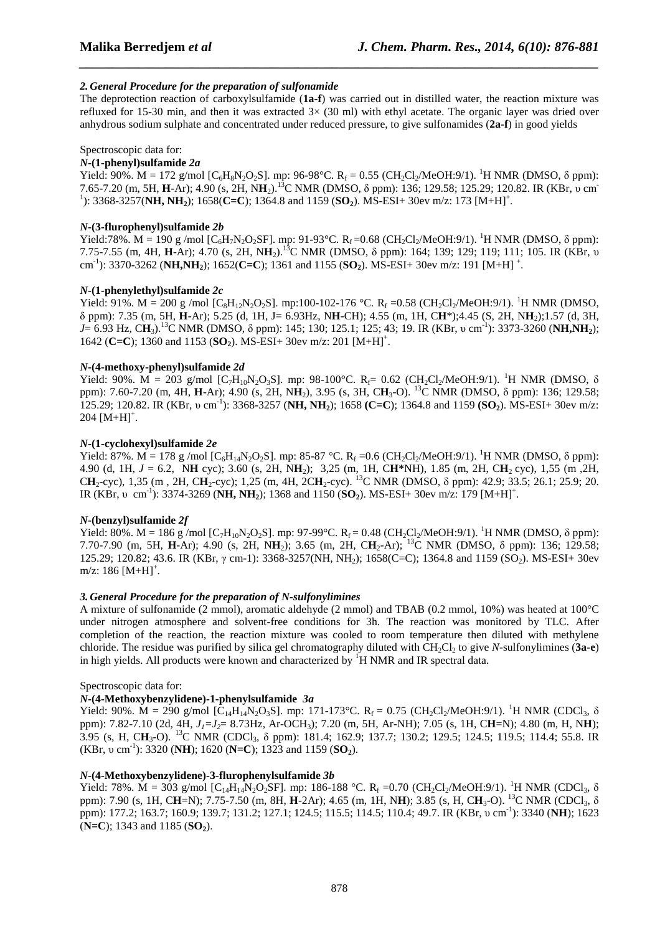# *2. General Procedure for the preparation of sulfonamide*

The deprotection reaction of carboxylsulfamide (**1a-f**) was carried out in distilled water, the reaction mixture was refluxed for 15-30 min, and then it was extracted  $3\times$  (30 ml) with ethyl acetate. The organic layer was dried over anhydrous sodium sulphate and concentrated under reduced pressure, to give sulfonamides (**2a-f**) in good yields

*\_\_\_\_\_\_\_\_\_\_\_\_\_\_\_\_\_\_\_\_\_\_\_\_\_\_\_\_\_\_\_\_\_\_\_\_\_\_\_\_\_\_\_\_\_\_\_\_\_\_\_\_\_\_\_\_\_\_\_\_\_\_\_\_\_\_\_\_\_\_\_\_\_\_\_\_\_\_*

# Spectroscopic data for:

# *N***-(1-phenyl)sulfamide** *2a*

Yield: 90%. M = 172 g/mol [C<sub>6</sub>H<sub>8</sub>N<sub>2</sub>O<sub>2</sub>S]. mp: 96-98°C. R<sub>f</sub> = 0.55 (CH<sub>2</sub>Cl<sub>2</sub>/MeOH:9/1). <sup>1</sup>H NMR (DMSO,  $\delta$  ppm): 7.65-7.20 (m, 5H, **H**-Ar); 4.90 (s, 2H, N**H**2).<sup>13</sup>C NMR (DMSO, δ ppm): 136; 129.58; 125.29; 120.82. IR (KBr, υ cm-<sup>1</sup>): 3368-3257(**NH**, **NH**<sub>2</sub>); 1658(**C**=**C**); 1364.8 and 1159 (**SO**<sub>2</sub>). MS-ESI+ 30ev m/z: 173 [M+H]<sup>+</sup>.

#### *N***-(3-flurophenyl)sulfamide** *2b*

Yield:78%.  $M = 190$  g /mol [C<sub>6</sub>H<sub>7</sub>N<sub>2</sub>O<sub>2</sub>SF]. mp: 91-93°C. R<sub>f</sub> =0.68 (CH<sub>2</sub>Cl<sub>2</sub>/MeOH:9/1). <sup>1</sup>H NMR (DMSO,  $\delta$  ppm): 7.75-7.55 (m, 4H, **H**-Ar); 4.70 (s, 2H, N**H**2).<sup>13</sup>C NMR (DMSO, δ ppm): 164; 139; 129; 119; 111; 105. IR (KBr, υ cm<sup>-1</sup>): 3370-3262 (**NH,NH**<sub>2</sub>); 1652(**C=C**); 1361 and 1155 (**SO**<sub>2</sub>). MS-ESI+ 30ev m/z: 191 [M+H]<sup>+</sup>.

#### *N***-(1-phenylethyl)sulfamide** *2c*

Yield: 91%. M = 200 g /mol  $[C_8H_{12}N_2O_2S]$ . mp:100-102-176 °C. R<sub>f</sub> =0.58 (CH<sub>2</sub>Cl<sub>2</sub>/MeOH:9/1). <sup>1</sup>H NMR (DMSO, δ ppm): 7.35 (m, 5H, **H**-Ar); 5.25 (d, 1H, J= 6.93Hz, N**H**-CH); 4.55 (m, 1H, C**H**\*);4.45 (S, 2H, N**H**2);1.57 (d, 3H, *J*= 6.93 Hz, C**H**3).<sup>13</sup>C NMR (DMSO, δ ppm): 145; 130; 125.1; 125; 43; 19. IR (KBr, υ cm-1): 3373-3260 (**NH,NH2**); 1642 (**C**=**C**); 1360 and 1153 (**SO**<sub>2</sub>). MS-ESI+ 30ev m/z: 201 [M+H]<sup>+</sup>.

#### *N***-(4-methoxy-phenyl)sulfamide** *2d*

Yield: 90%. M = 203 g/mol [C<sub>7</sub>H<sub>10</sub>N<sub>2</sub>O<sub>3</sub>S]. mp: 98-100°C. R<sub>f</sub>= 0.62 (CH<sub>2</sub>Cl<sub>2</sub>/MeOH:9/1). <sup>1</sup>H NMR (DMSO,  $\delta$ ppm): 7.60-7.20 (m, 4H, **H**-Ar); 4.90 (s, 2H, N**H**2), 3.95 (s, 3H, C**H**3-O). <sup>13</sup>C NMR (DMSO, δ ppm): 136; 129.58; 125.29; 120.82. IR (KBr, υ cm-1): 3368-3257 (**NH, NH2**); 1658 **(C=C**); 1364.8 and 1159 **(SO2**). MS-ESI+ 30ev m/z:  $204 [M+H]<sup>+</sup>$ .

#### *N***-(1-cyclohexyl)sulfamide** *2e*

Yield: 87%.  $M = 178$  g /mol [C<sub>6</sub>H<sub>14</sub>N<sub>2</sub>O<sub>2</sub>S]. mp: 85-87 °C. R<sub>f</sub> =0.6 (CH<sub>2</sub>Cl<sub>2</sub>/MeOH:9/1). <sup>1</sup>H NMR (DMSO,  $\delta$  ppm): 4.90 (d, 1H, *J* = 6.2, N**H** cyc); 3.60 (s, 2H, N**H**2); 3,25 (m, 1H, C**H\***NH), 1.85 (m, 2H, C**H**2 cyc), 1,55 (m ,2H, C**H**2-cyc), 1,35 (m , 2H, C**H**2-cyc); 1,25 (m, 4H, 2C**H**2-cyc). <sup>13</sup>C NMR (DMSO, δ ppm): 42.9; 33.5; 26.1; 25.9; 20. IR (KBr, v cm<sup>-1</sup>): 3374-3269 (**NH, NH**<sub>2</sub>); 1368 and 1150 (**SO**<sub>2</sub>). MS-ESI+ 30ev m/z: 179 [M+H]<sup>+</sup>.

# *N***-(benzyl)sulfamide** *2f*

Yield: 80%. M = 186 g /mol [C<sub>7</sub>H<sub>10</sub>N<sub>2</sub>O<sub>2</sub>S]. mp: 97-99°C. R<sub>f</sub> = 0.48 (CH<sub>2</sub>Cl<sub>2</sub>/MeOH:9/1). <sup>1</sup>H NMR (DMSO,  $\delta$  ppm): 7.70-7.90 (m, 5H, **H**-Ar); 4.90 (s, 2H, N**H**2); 3.65 (m, 2H, C**H**2-Ar); <sup>13</sup>C NMR (DMSO, δ ppm): 136; 129.58; 125.29; 120.82; 43.6. IR (KBr, γ cm-1): 3368-3257(NH, NH2); 1658(C=C); 1364.8 and 1159 (SO2). MS-ESI+ 30ev  $m/z$ : 186  $[M+H]<sup>+</sup>$ .

#### *3. General Procedure for the preparation of N-sulfonylimines*

A mixture of sulfonamide (2 mmol), aromatic aldehyde (2 mmol) and TBAB (0.2 mmol, 10%) was heated at 100°C under nitrogen atmosphere and solvent-free conditions for 3h. The reaction was monitored by TLC. After completion of the reaction, the reaction mixture was cooled to room temperature then diluted with methylene chloride. The residue was purified by silica gel chromatography diluted with CH<sub>2</sub>Cl<sub>2</sub> to give *N*-sulfonylimines (3a-e) in high yields. All products were known and characterized by  ${}^{1}H$  NMR and IR spectral data.

#### Spectroscopic data for:

# *N***-(4-Methoxybenzylidene)-1-phenylsulfamide** *3a*

Yield: 90%.  $M = 290$  g/mol  $[C_{14}H_{14}N_2O_3S]$ . mp: 171-173°C.  $R_f = 0.75$  (CH<sub>2</sub>Cl<sub>2</sub>/MeOH:9/1). <sup>1</sup>H NMR (CDCl<sub>3</sub>,  $\delta$ ppm): 7.82-7.10 (2d, 4H, *J1=J2*= 8.73Hz, Ar-OCH3); 7.20 (m, 5H, Ar-NH); 7.05 (s, 1H, C**H**=N); 4.80 (m, H, N**H**); 3.95 (s, H, CH<sub>3</sub>-O). <sup>13</sup>C NMR (CDCl<sub>3</sub>, δ ppm): 181.4; 162.9; 137.7; 130.2; 129.5; 124.5; 119.5; 114.4; 55.8. IR (KBr, υ cm-1): 3320 (**NH**); 1620 (**N=C**); 1323 and 1159 (**SO2**).

# *N***-(4-Methoxybenzylidene)-3-flurophenylsulfamide** *3b*

Yield: 78%.  $\dot{M} = 303$  g/mol [C<sub>14</sub>H<sub>14</sub>N<sub>2</sub>O<sub>2</sub>SF]. mp: 186-188 °C. R<sub>f</sub> =0.70 (CH<sub>2</sub>Cl<sub>2</sub>/MeOH:9/1). <sup>1</sup>H NMR (CDCl<sub>3</sub>,  $\delta$ ppm): 7.90 (s, 1H, C**H**=N); 7.75-7.50 (m, 8H, **H**-2Ar); 4.65 (m, 1H, N**H**); 3.85 (s, H, C**H**3-O). <sup>13</sup>C NMR (CDCl3, δ ppm): 177.2; 163.7; 160.9; 139.7; 131.2; 127.1; 124.5; 115.5; 114.5; 110.4; 49.7. IR (KBr, υ cm-1): 3340 (**NH**); 1623 (**N=C**); 1343 and 1185 (**SO2**).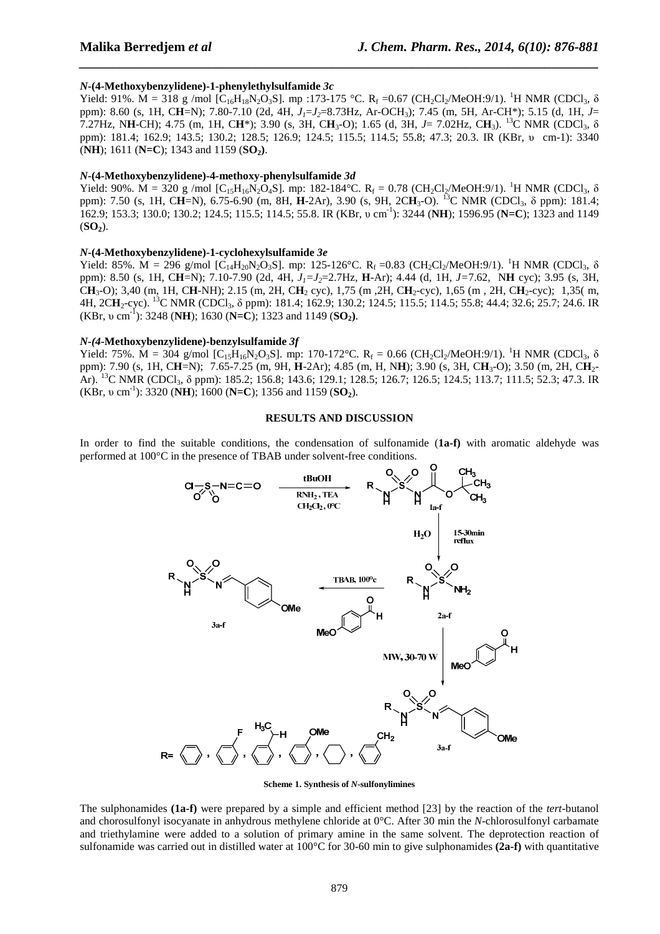#### *N***-(4-Methoxybenzylidene)-1-phenylethylsulfamide** *3c*

Yield: 91%.  $\dot{M} = 318$  g /mol [C<sub>16</sub>H<sub>18</sub>N<sub>2</sub>O<sub>3</sub>S]. mp :173-175 °C. R<sub>f</sub> =0.67 (CH<sub>2</sub>Cl<sub>2</sub>/MeOH:9/1). <sup>1</sup>H NMR (CDCl<sub>3</sub>,  $\delta$ ppm): 8.60 (s, 1H, C**H**=N); 7.80-7.10 (2d, 4H, *J1*=*J2*=8.73Hz, Ar-OCH3); 7.45 (m, 5H, Ar-CH\*); 5.15 (d, 1H, *J*= 7.27Hz, N**H**-CH); 4.75 (m, 1H, C**H**\*); 3.90 (s, 3H, C**H**3-O); 1.65 (d, 3H, *J*= 7.02Hz, C**H**3). <sup>13</sup>C NMR (CDCl3, δ ppm): 181.4; 162.9; 143.5; 130.2; 128.5; 126.9; 124.5; 115.5; 114.5; 55.8; 47.3; 20.3. IR (KBr, υ cm-1): 3340 (**NH**); 1611 (**N=C**); 1343 and 1159 (**SO**<sub>2</sub>).

*\_\_\_\_\_\_\_\_\_\_\_\_\_\_\_\_\_\_\_\_\_\_\_\_\_\_\_\_\_\_\_\_\_\_\_\_\_\_\_\_\_\_\_\_\_\_\_\_\_\_\_\_\_\_\_\_\_\_\_\_\_\_\_\_\_\_\_\_\_\_\_\_\_\_\_\_\_\_*

#### *N***-(4-Methoxybenzylidene)-4-methoxy-phenylsulfamide** *3d*

Yield: 90%.  $\dot{M} = 320$  g /mol [C<sub>15</sub>H<sub>16</sub>N<sub>2</sub>O<sub>4</sub>S]. mp: 182-184 °C. R<sub>f</sub> = 0.78 (CH<sub>2</sub>Cl<sub>2</sub>/MeOH:9/1). <sup>1</sup>H NMR (CDCl<sub>3</sub>,  $\delta$ ppm): 7.50 (s, 1H, C**H**=N), 6.75-6.90 (m, 8H, **H**-2Ar), 3.90 (s, 9H, 2C**H**3-O). <sup>13</sup>C NMR (CDCl3, δ ppm): 181.4; 162.9; 153.3; 130.0; 130.2; 124.5; 115.5; 114.5; 55.8. IR (KBr, υ cm-1): 3244 (**NH**); 1596.95 (**N=C**); 1323 and 1149  $(SO<sub>2</sub>)$ .

#### *N***-(4-Methoxybenzylidene)-1-cyclohexylsulfamide** *3e*

Yield: 85%. M = 296 g/mol  $[C_{14}H_{20}N_2O_3S]$ . mp: 125-126°C. R<sub>f</sub> =0.83 (CH<sub>2</sub>Cl<sub>2</sub>/MeOH:9/1). <sup>1</sup>H NMR (CDCl<sub>3</sub>,  $\delta$ ppm): 8.50 (s, 1H, C**H**=N); 7.10-7.90 (2d, 4H, *J1=J2*=2.7Hz, **H**-Ar); 4.44 (d, 1H, *J=*7.62, N**H** cyc); 3.95 (s, 3H, C**H**3-O); 3,40 (m, 1H, C**H**-NH); 2.15 (m, 2H, C**H**2 cyc), 1,75 (m ,2H, C**H**2-cyc), 1,65 (m , 2H, C**H**2-cyc); 1,35( m, 4H, 2CH<sub>2</sub>-cyc). <sup>13</sup>C NMR (CDCl<sub>3</sub>, δ ppm): 181.4; 162.9; 130.2; 124.5; 115.5; 114.5; 55.8; 44.4; 32.6; 25.7; 24.6. IR (KBr, υ cm-1): 3248 (**NH**); 1630 (**N=C**); 1323 and 1149 (**SO2)**.

#### *N-(4-***Methoxybenzylidene)-benzylsulfamide** *3f*

Yield: 75%.  $\dot{M} = 304$  g/mol [C<sub>15</sub>H<sub>16</sub>N<sub>2</sub>O<sub>3</sub>S]. mp: 170-172°C. R<sub>f</sub> = 0.66 (CH<sub>2</sub>Cl<sub>2</sub>/MeOH:9/1). <sup>1</sup>H NMR (CDCl<sub>3</sub>,  $\delta$ ppm): 7.90 (s, 1H, C**H**=N); 7.65-7.25 (m, 9H, **H**-2Ar); 4.85 (m, H, N**H**); 3.90 (s, 3H, C**H**3-O); 3.50 (m, 2H, C**H**2- Ar). <sup>13</sup>C NMR (CDCl<sub>3</sub>, δ ppm): 185.2; 156.8; 143.6; 129.1; 128.5; 126.7; 126.5; 124.5; 113.7; 111.5; 52.3; 47.3. IR (KBr, υ cm-1): 3320 (**NH**); 1600 (**N=C**); 1356 and 1159 (**SO2**).

#### **RESULTS AND DISCUSSION**

In order to find the suitable conditions, the condensation of sulfonamide (**1a-f)** with aromatic aldehyde was performed at 100°C in the presence of TBAB under solvent-free conditions.



**Scheme 1. Synthesis of** *N***-sulfonylimines** 

The sulphonamides **(1a-f)** were prepared by a simple and efficient method [23] by the reaction of the *tert*-butanol and chorosulfonyl isocyanate in anhydrous methylene chloride at 0°C. After 30 min the *N*-chlorosulfonyl carbamate and triethylamine were added to a solution of primary amine in the same solvent. The deprotection reaction of sulfonamide was carried out in distilled water at 100°C for 30-60 min to give sulphonamides **(2a-f)** with quantitative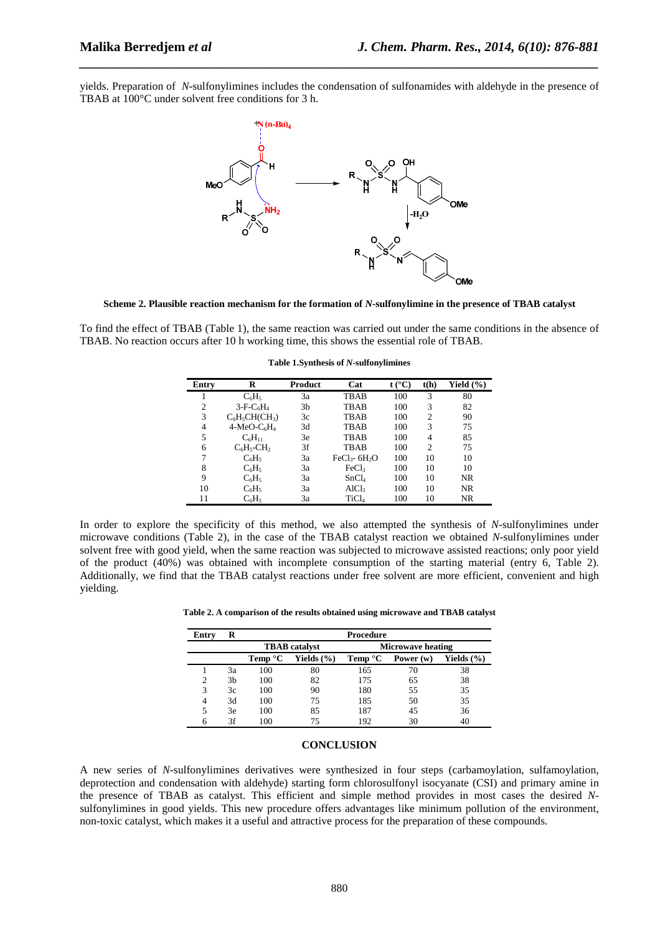yields. Preparation of *N*-sulfonylimines includes the condensation of sulfonamides with aldehyde in the presence of TBAB at 100°C under solvent free conditions for 3 h.

*\_\_\_\_\_\_\_\_\_\_\_\_\_\_\_\_\_\_\_\_\_\_\_\_\_\_\_\_\_\_\_\_\_\_\_\_\_\_\_\_\_\_\_\_\_\_\_\_\_\_\_\_\_\_\_\_\_\_\_\_\_\_\_\_\_\_\_\_\_\_\_\_\_\_\_\_\_\_*



**Scheme 2. Plausible reaction mechanism for the formation of** *N***-sulfonylimine in the presence of TBAB catalyst** 

To find the effect of TBAB (Table 1), the same reaction was carried out under the same conditions in the absence of TBAB. No reaction occurs after 10 h working time, this shows the essential role of TBAB.

| Entry | R                         | Product | Cat                         | $t (^{\circ}C)$ | t(h)           | Yield $(\% )$ |
|-------|---------------------------|---------|-----------------------------|-----------------|----------------|---------------|
|       | $C_6H_5$                  | 3a      | <b>TBAB</b>                 | 100             | 3              | 80            |
| 2     | $3-F-C6H4$                | 3b      | <b>TBAB</b>                 | 100             | 3              | 82            |
| 3     | $C_6H_5CH(CH_3)$          | 3c      | <b>TBAB</b>                 | 100             | $\overline{c}$ | 90            |
| 4     | $4-MeO-C6H4$              | 3d      | <b>TBAB</b>                 | 100             | 3              | 75            |
| 5     | $C_6H_{11}$               | 3e      | <b>TBAB</b>                 | 100             | 4              | 85            |
| 6     | $C_6H_5$ -CH <sub>2</sub> | 3f      | <b>TBAB</b>                 | 100             | $\mathfrak{D}$ | 75            |
| 7     | $C_6H_5$                  | 3a      | $FeCl3$ - 6H <sub>2</sub> O | 100             | 10             | 10            |
| 8     | $C_6H_5$                  | 3a      | FeCl <sub>3</sub>           | 100             | 10             | 10            |
| 9     | $C_6H_5$                  | 3a      | SnCl <sub>4</sub>           | 100             | 10             | NR.           |
| 10    | $C_6H_5$                  | 3a      | AICl <sub>3</sub>           | 100             | 10             | NR.           |
| 11    | $C_6H_5$                  | 3a      | TiCl <sub>4</sub>           | 100             | 10             | <b>NR</b>     |

**Table 1.Synthesis of** *N***-sulfonylimines** 

In order to explore the specificity of this method, we also attempted the synthesis of *N*-sulfonylimines under microwave conditions (Table 2), in the case of the TBAB catalyst reaction we obtained *N*-sulfonylimines under solvent free with good yield, when the same reaction was subjected to microwave assisted reactions; only poor yield of the product (40%) was obtained with incomplete consumption of the starting material (entry 6, Table 2). Additionally, we find that the TBAB catalyst reactions under free solvent are more efficient, convenient and high yielding.

| Table 2. A comparison of the results obtained using microwave and TBAB catalyst |  |  |  |
|---------------------------------------------------------------------------------|--|--|--|
|---------------------------------------------------------------------------------|--|--|--|

| Entry | R  | <b>Procedure</b>     |                |                          |             |                |  |  |
|-------|----|----------------------|----------------|--------------------------|-------------|----------------|--|--|
|       |    | <b>TBAB</b> catalyst |                | <b>Microwave heating</b> |             |                |  |  |
|       |    | Temp $^{\circ}$ C    | Yields $(\% )$ | <b>Temp</b> $^{\circ}$ C | Power $(w)$ | Yields $(\% )$ |  |  |
|       | 3a | 100                  | 80             | 165                      | 70          | 38             |  |  |
| 2     | 3b | 100                  | 82             | 175                      | 65          | 38             |  |  |
| 3     | 3c | 100                  | 90             | 180                      | 55          | 35             |  |  |
| 4     | 3d | 100                  | 75             | 185                      | 50          | 35             |  |  |
| 5     | 3e | 100                  | 85             | 187                      | 45          | 36             |  |  |
| 6     | 3f | 100                  | 75             | 192                      | 30          | 40             |  |  |

#### **CONCLUSION**

A new series of *N*-sulfonylimines derivatives were synthesized in four steps (carbamoylation, sulfamoylation, deprotection and condensation with aldehyde) starting form chlorosulfonyl isocyanate (CSI) and primary amine in the presence of TBAB as catalyst. This efficient and simple method provides in most cases the desired *N*sulfonylimines in good yields. This new procedure offers advantages like minimum pollution of the environment, non-toxic catalyst, which makes it a useful and attractive process for the preparation of these compounds.